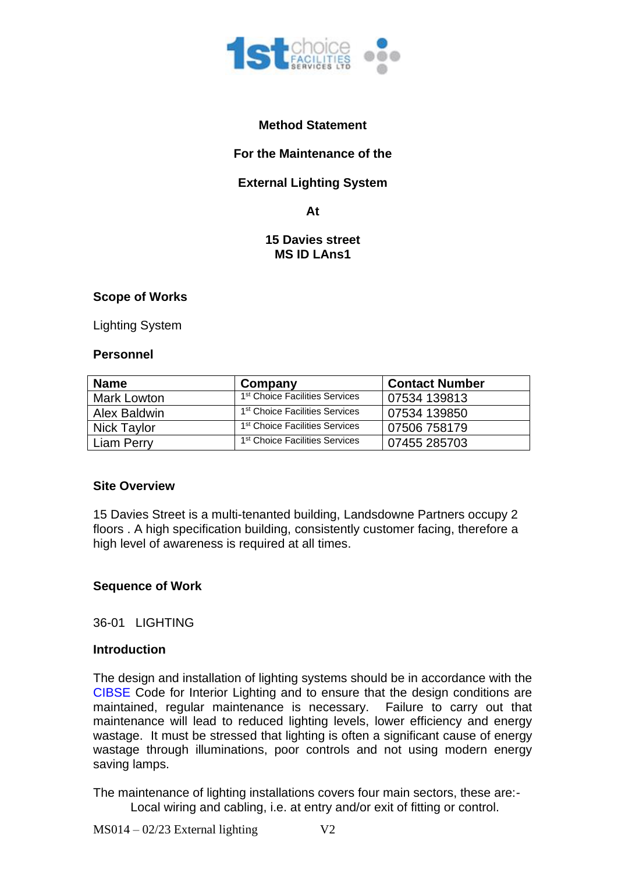

### **Method Statement**

### **For the Maintenance of the**

## **External Lighting System**

**At**

#### **15 Davies street MS ID LAns1**

#### **Scope of Works**

Lighting System

#### **Personnel**

| <b>Name</b>  | Company                                    | <b>Contact Number</b> |
|--------------|--------------------------------------------|-----------------------|
| Mark Lowton  | 1 <sup>st</sup> Choice Facilities Services | 07534 139813          |
| Alex Baldwin | 1 <sup>st</sup> Choice Facilities Services | 07534 139850          |
| Nick Taylor  | 1 <sup>st</sup> Choice Facilities Services | 07506 758179          |
| Liam Perry   | 1 <sup>st</sup> Choice Facilities Services | 07455 285703          |

#### **Site Overview**

15 Davies Street is a multi-tenanted building, Landsdowne Partners occupy 2 floors . A high specification building, consistently customer facing, therefore a high level of awareness is required at all times.

## **Sequence of Work**

36-01 LIGHTING

#### **Introduction**

The design and installation of lighting systems should be in accordance with the CIBSE Code for Interior Lighting and to ensure that the design conditions are maintained, regular maintenance is necessary. Failure to carry out that maintenance will lead to reduced lighting levels, lower efficiency and energy wastage. It must be stressed that lighting is often a significant cause of energy wastage through illuminations, poor controls and not using modern energy saving lamps.

The maintenance of lighting installations covers four main sectors, these are:- Local wiring and cabling, i.e. at entry and/or exit of fitting or control.

 $MS014 - 02/23$  External lighting  $V2$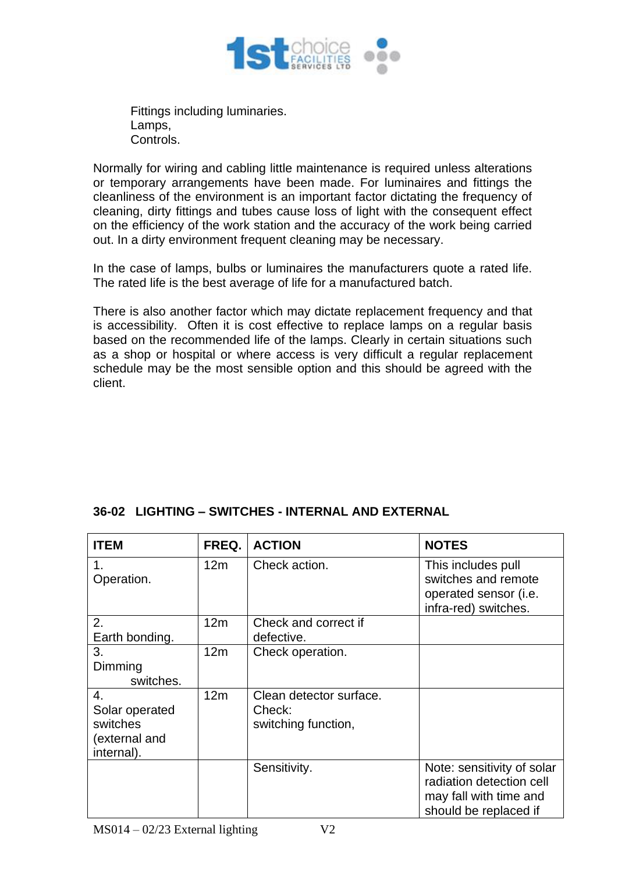

Fittings including luminaries. Lamps, Controls.

Normally for wiring and cabling little maintenance is required unless alterations or temporary arrangements have been made. For luminaires and fittings the cleanliness of the environment is an important factor dictating the frequency of cleaning, dirty fittings and tubes cause loss of light with the consequent effect on the efficiency of the work station and the accuracy of the work being carried out. In a dirty environment frequent cleaning may be necessary.

In the case of lamps, bulbs or luminaires the manufacturers quote a rated life. The rated life is the best average of life for a manufactured batch.

There is also another factor which may dictate replacement frequency and that is accessibility. Often it is cost effective to replace lamps on a regular basis based on the recommended life of the lamps. Clearly in certain situations such as a shop or hospital or where access is very difficult a regular replacement schedule may be the most sensible option and this should be agreed with the client.

## **36-02 LIGHTING – SWITCHES - INTERNAL AND EXTERNAL**

| <b>ITEM</b>                                                     | FREQ.           | <b>ACTION</b>                                            | <b>NOTES</b>                                                                                              |
|-----------------------------------------------------------------|-----------------|----------------------------------------------------------|-----------------------------------------------------------------------------------------------------------|
| 1.<br>Operation.                                                | 12 <sub>m</sub> | Check action.                                            | This includes pull<br>switches and remote<br>operated sensor (i.e.<br>infra-red) switches.                |
| 2.<br>Earth bonding.                                            | 12m             | Check and correct if<br>defective.                       |                                                                                                           |
| 3.<br>Dimming<br>switches.                                      | 12m             | Check operation.                                         |                                                                                                           |
| 4.<br>Solar operated<br>switches<br>(external and<br>internal). | 12m             | Clean detector surface.<br>Check:<br>switching function, |                                                                                                           |
|                                                                 |                 | Sensitivity.                                             | Note: sensitivity of solar<br>radiation detection cell<br>may fall with time and<br>should be replaced if |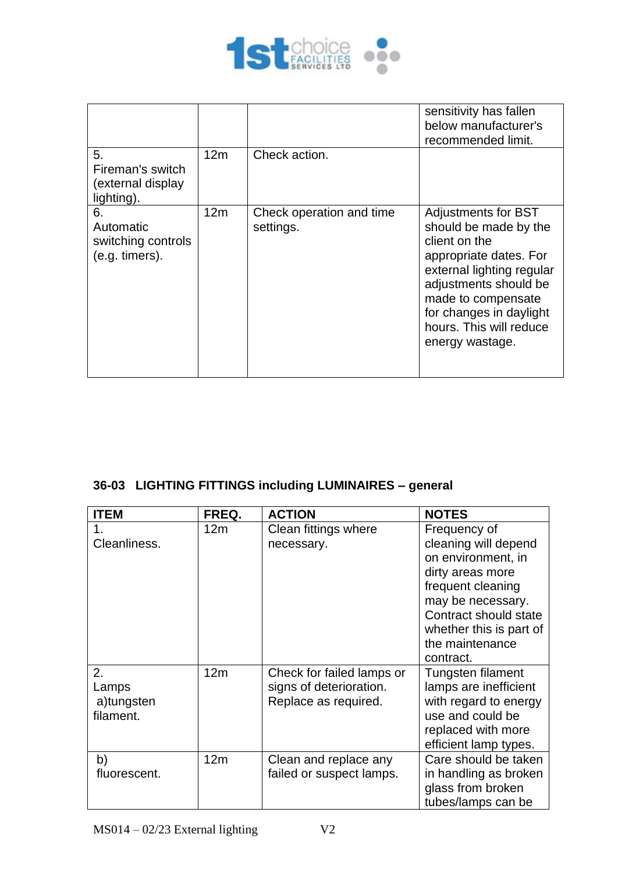

| 5.<br>Fireman's switch<br>(external display<br>lighting). | 12m | Check action.                         | sensitivity has fallen<br>below manufacturer's<br>recommended limit.                                                                                                                                                                                |
|-----------------------------------------------------------|-----|---------------------------------------|-----------------------------------------------------------------------------------------------------------------------------------------------------------------------------------------------------------------------------------------------------|
| 6.<br>Automatic<br>switching controls<br>(e.g. timers).   | 12m | Check operation and time<br>settings. | <b>Adjustments for BST</b><br>should be made by the<br>client on the<br>appropriate dates. For<br>external lighting regular<br>adjustments should be<br>made to compensate<br>for changes in daylight<br>hours. This will reduce<br>energy wastage. |

# **36-03 LIGHTING FITTINGS including LUMINAIRES – general**

| <b>ITEM</b>  | FREQ.           | <b>ACTION</b>             | <b>NOTES</b>            |
|--------------|-----------------|---------------------------|-------------------------|
|              | 12 <sub>m</sub> | Clean fittings where      | Frequency of            |
| Cleanliness. |                 | necessary.                | cleaning will depend    |
|              |                 |                           | on environment, in      |
|              |                 |                           | dirty areas more        |
|              |                 |                           | frequent cleaning       |
|              |                 |                           | may be necessary.       |
|              |                 |                           | Contract should state   |
|              |                 |                           | whether this is part of |
|              |                 |                           | the maintenance         |
|              |                 |                           | contract.               |
| 2.           | 12 <sub>m</sub> | Check for failed lamps or | Tungsten filament       |
| Lamps        |                 | signs of deterioration.   | lamps are inefficient   |
| a)tungsten   |                 | Replace as required.      | with regard to energy   |
| filament.    |                 |                           | use and could be        |
|              |                 |                           | replaced with more      |
|              |                 |                           | efficient lamp types.   |
| b)           | 12 <sub>m</sub> | Clean and replace any     | Care should be taken    |
| fluorescent. |                 | failed or suspect lamps.  | in handling as broken   |
|              |                 |                           | glass from broken       |
|              |                 |                           | tubes/lamps can be      |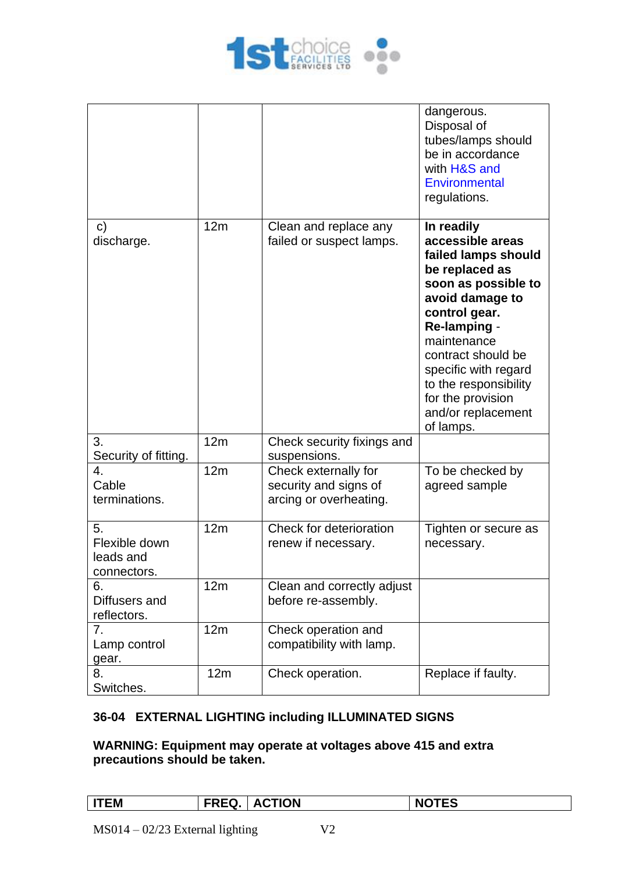

|                                                 |     |                                                                         | dangerous.<br>Disposal of<br>tubes/lamps should<br>be in accordance<br>with H&S and<br>Environmental<br>regulations.                                                                                                                                                                             |
|-------------------------------------------------|-----|-------------------------------------------------------------------------|--------------------------------------------------------------------------------------------------------------------------------------------------------------------------------------------------------------------------------------------------------------------------------------------------|
| $\mathsf{C}$<br>discharge.                      | 12m | Clean and replace any<br>failed or suspect lamps.                       | In readily<br>accessible areas<br>failed lamps should<br>be replaced as<br>soon as possible to<br>avoid damage to<br>control gear.<br>Re-lamping -<br>maintenance<br>contract should be<br>specific with regard<br>to the responsibility<br>for the provision<br>and/or replacement<br>of lamps. |
| 3.<br>Security of fitting.                      | 12m | Check security fixings and<br>suspensions.                              |                                                                                                                                                                                                                                                                                                  |
| 4.<br>Cable<br>terminations.                    | 12m | Check externally for<br>security and signs of<br>arcing or overheating. | To be checked by<br>agreed sample                                                                                                                                                                                                                                                                |
| 5.<br>Flexible down<br>leads and<br>connectors. | 12m | Check for deterioration<br>renew if necessary.                          | Tighten or secure as<br>necessary.                                                                                                                                                                                                                                                               |
| 6.<br>Diffusers and<br>reflectors.              | 12m | Clean and correctly adjust<br>before re-assembly.                       |                                                                                                                                                                                                                                                                                                  |
| 7.<br>Lamp control<br>gear.                     | 12m | Check operation and<br>compatibility with lamp.                         |                                                                                                                                                                                                                                                                                                  |
| 8.<br>Switches.                                 | 12m | Check operation.                                                        | Replace if faulty.                                                                                                                                                                                                                                                                               |

## **36-04 EXTERNAL LIGHTING including ILLUMINATED SIGNS**

## **WARNING: Equipment may operate at voltages above 415 and extra precautions should be taken.**

| EМ | --<br>-- | <b>TION</b> |  |
|----|----------|-------------|--|
|    |          |             |  |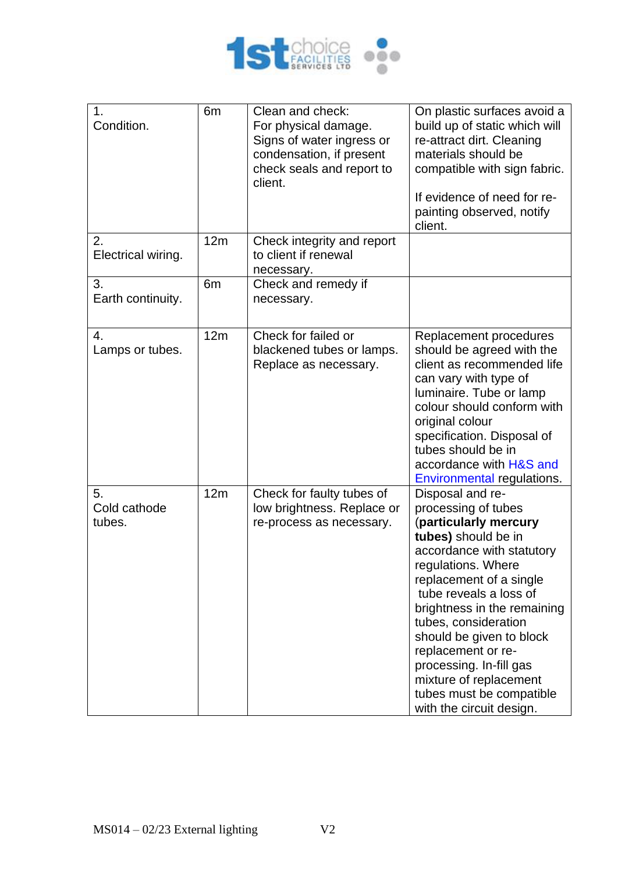

| 1.<br>Condition.             | 6m             | Clean and check:<br>For physical damage.<br>Signs of water ingress or<br>condensation, if present<br>check seals and report to<br>client. | On plastic surfaces avoid a<br>build up of static which will<br>re-attract dirt. Cleaning<br>materials should be<br>compatible with sign fabric.<br>If evidence of need for re-<br>painting observed, notify<br>client.                                                                                                                                                                                               |
|------------------------------|----------------|-------------------------------------------------------------------------------------------------------------------------------------------|-----------------------------------------------------------------------------------------------------------------------------------------------------------------------------------------------------------------------------------------------------------------------------------------------------------------------------------------------------------------------------------------------------------------------|
| 2.<br>Electrical wiring.     | 12m            | Check integrity and report<br>to client if renewal<br>necessary.                                                                          |                                                                                                                                                                                                                                                                                                                                                                                                                       |
| 3.<br>Earth continuity.      | 6 <sub>m</sub> | Check and remedy if<br>necessary.                                                                                                         |                                                                                                                                                                                                                                                                                                                                                                                                                       |
| 4.<br>Lamps or tubes.        | 12m            | Check for failed or<br>blackened tubes or lamps.<br>Replace as necessary.                                                                 | Replacement procedures<br>should be agreed with the<br>client as recommended life<br>can vary with type of<br>luminaire. Tube or lamp<br>colour should conform with<br>original colour<br>specification. Disposal of<br>tubes should be in<br>accordance with H&S and<br>Environmental regulations.                                                                                                                   |
| 5.<br>Cold cathode<br>tubes. | 12m            | Check for faulty tubes of<br>low brightness. Replace or<br>re-process as necessary.                                                       | Disposal and re-<br>processing of tubes<br>(particularly mercury<br>tubes) should be in<br>accordance with statutory<br>regulations. Where<br>replacement of a single<br>tube reveals a loss of<br>brightness in the remaining<br>tubes, consideration<br>should be given to block<br>replacement or re-<br>processing. In-fill gas<br>mixture of replacement<br>tubes must be compatible<br>with the circuit design. |